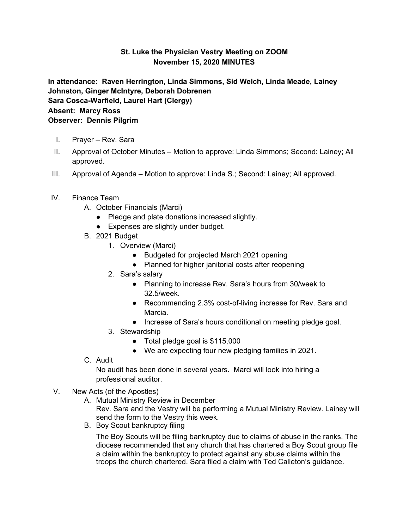## **St. Luke the Physician Vestry Meeting on ZOOM November 15, 2020 MINUTES**

**In attendance: Raven Herrington, Linda Simmons, Sid Welch, Linda Meade, Lainey Johnston, Ginger McIntyre, Deborah Dobrenen Sara Cosca-Warfield, Laurel Hart (Clergy) Absent: Marcy Ross Observer: Dennis Pilgrim**

- I. Prayer Rev. Sara
- II. Approval of October Minutes Motion to approve: Linda Simmons; Second: Lainey; All approved.
- III. Approval of Agenda Motion to approve: Linda S.; Second: Lainey; All approved.
- IV. Finance Team
	- A. October Financials (Marci)
		- Pledge and plate donations increased slightly.
		- Expenses are slightly under budget.
	- B. 2021 Budget
		- 1. Overview (Marci)
			- Budgeted for projected March 2021 opening
			- Planned for higher janitorial costs after reopening
		- 2. Sara's salary
			- Planning to increase Rev. Sara's hours from 30/week to 32.5/week.
			- Recommending 2.3% cost-of-living increase for Rev. Sara and Marcia.
			- Increase of Sara's hours conditional on meeting pledge goal.
		- 3. Stewardship
			- Total pledge goal is \$115,000
			- We are expecting four new pledging families in 2021.
	- C. Audit

No audit has been done in several years. Marci will look into hiring a professional auditor.

- V. New Acts (of the Apostles)
	- A. Mutual Ministry Review in December Rev. Sara and the Vestry will be performing a Mutual Ministry Review. Lainey will send the form to the Vestry this week.
	- B. Boy Scout bankruptcy filing

The Boy Scouts will be filing bankruptcy due to claims of abuse in the ranks. The diocese recommended that any church that has chartered a Boy Scout group file a claim within the bankruptcy to protect against any abuse claims within the troops the church chartered. Sara filed a claim with Ted Calleton's guidance.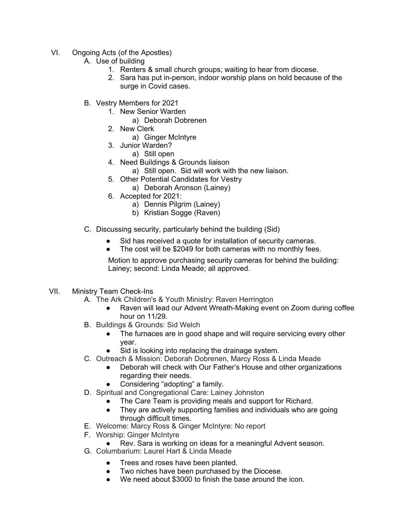- VI. Ongoing Acts (of the Apostles)
	- A. Use of building
		- 1. Renters & small church groups; waiting to hear from diocese.
		- 2. Sara has put in-person, indoor worship plans on hold because of the surge in Covid cases.
	- B. Vestry Members for 2021
		- 1. New Senior Warden
			- a) Deborah Dobrenen
		- 2. New Clerk
			- a) Ginger McIntyre
		- 3. Junior Warden?
			- a) Still open
		- 4. Need Buildings & Grounds liaison
			- a) Still open. Sid will work with the new liaison.
		- 5. Other Potential Candidates for Vestry
			- a) Deborah Aronson (Lainey)
		- 6. Accepted for 2021:
			- a) Dennis Pilgrim (Lainey)
			- b) Kristian Sogge (Raven)
	- C. Discussing security, particularly behind the building (Sid)
		- Sid has received a quote for installation of security cameras.
		- The cost will be \$2049 for both cameras with no monthly fees.

Motion to approve purchasing security cameras for behind the building: Lainey; second: Linda Meade; all approved.

## VII. Ministry Team Check-Ins

- A. The Ark Children's & Youth Ministry: Raven Herrington
	- Raven will lead our Advent Wreath-Making event on Zoom during coffee hour on 11/29.
- B. Buildings & Grounds: Sid Welch
	- The furnaces are in good shape and will require servicing every other year.
	- Sid is looking into replacing the drainage system.
- C. Outreach & Mission: Deborah Dobrenen, Marcy Ross & Linda Meade
	- Deborah will check with Our Father's House and other organizations regarding their needs.
	- Considering "adopting" a family.
- D. Spiritual and Congregational Care: Lainey Johnston
	- The Care Team is providing meals and support for Richard.
	- They are actively supporting families and individuals who are going through difficult times.
- E. Welcome: Marcy Ross & Ginger McIntyre: No report
- F. Worship: Ginger McIntyre
	- Rev. Sara is working on ideas for a meaningful Advent season.
- G. Columbarium: Laurel Hart & Linda Meade
	- Trees and roses have been planted.
	- Two niches have been purchased by the Diocese.
	- We need about \$3000 to finish the base around the icon.